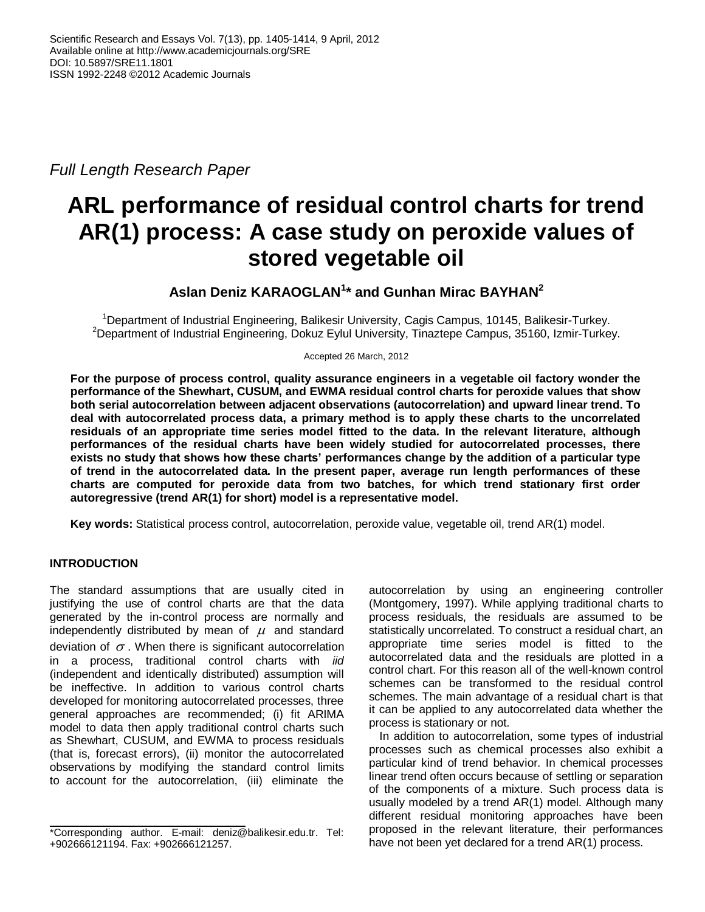*Full Length Research Paper*

# **ARL performance of residual control charts for trend AR(1) process: A case study on peroxide values of stored vegetable oil**

# **Aslan Deniz KARAOGLAN<sup>1</sup> \* and Gunhan Mirac BAYHAN<sup>2</sup>**

<sup>1</sup>Department of Industrial Engineering, Balikesir University, Cagis Campus, 10145, Balikesir-Turkey. <sup>2</sup>Department of Industrial Engineering, Dokuz Eylul University, Tinaztepe Campus, 35160, Izmir-Turkey.

Accepted 26 March, 2012

**For the purpose of process control, quality assurance engineers in a vegetable oil factory wonder the performance of the Shewhart, CUSUM, and EWMA residual control charts for peroxide values that show both serial autocorrelation between adjacent observations (autocorrelation) and upward linear trend. To deal with autocorrelated process data, a primary method is to apply these charts to the uncorrelated residuals of an appropriate time series model fitted to the data. In the relevant literature, although performances of the residual charts have been widely studied for autocorrelated processes, there exists no study that shows how these charts' performances change by the addition of a particular type of trend in the autocorrelated data. In the present paper, average run length performances of these charts are computed for peroxide data from two batches, for which trend stationary first order autoregressive (trend AR(1) for short) model is a representative model.** 

**Key words:** Statistical process control, autocorrelation, peroxide value, vegetable oil, trend AR(1) model.

# **INTRODUCTION**

The standard assumptions that are usually cited in justifying the use of control charts are that the data generated by the in-control process are normally and independently distributed by mean of  $\mu$  and standard deviation of  $\sigma$ . When there is significant autocorrelation in a process, traditional control charts with *iid* (independent and identically distributed) assumption will be ineffective. In addition to various control charts developed for monitoring autocorrelated processes, three general approaches are recommended; (i) fit ARIMA model to data then apply traditional control charts such as Shewhart, CUSUM, and EWMA to process residuals (that is, forecast errors), (ii) monitor the autocorrelated observations by modifying the standard control limits to account for the autocorrelation, (iii) eliminate the

autocorrelation by using an engineering controller (Montgomery, 1997). While applying traditional charts to process residuals, the residuals are assumed to be statistically uncorrelated. To construct a residual chart, an appropriate time series model is fitted to the autocorrelated data and the residuals are plotted in a control chart. For this reason all of the well-known control schemes can be transformed to the residual control schemes. The main advantage of a residual chart is that it can be applied to any autocorrelated data whether the process is stationary or not.

In addition to autocorrelation, some types of industrial processes such as chemical processes also exhibit a particular kind of trend behavior. In chemical processes linear trend often occurs because of settling or separation of the components of a mixture. Such process data is usually modeled by a trend AR(1) model. Although many different residual monitoring approaches have been proposed in the relevant literature, their performances have not been yet declared for a trend AR(1) process.

<sup>\*</sup>Corresponding author. E-mail: deniz@balikesir.edu.tr. Tel: +902666121194. Fax: +902666121257.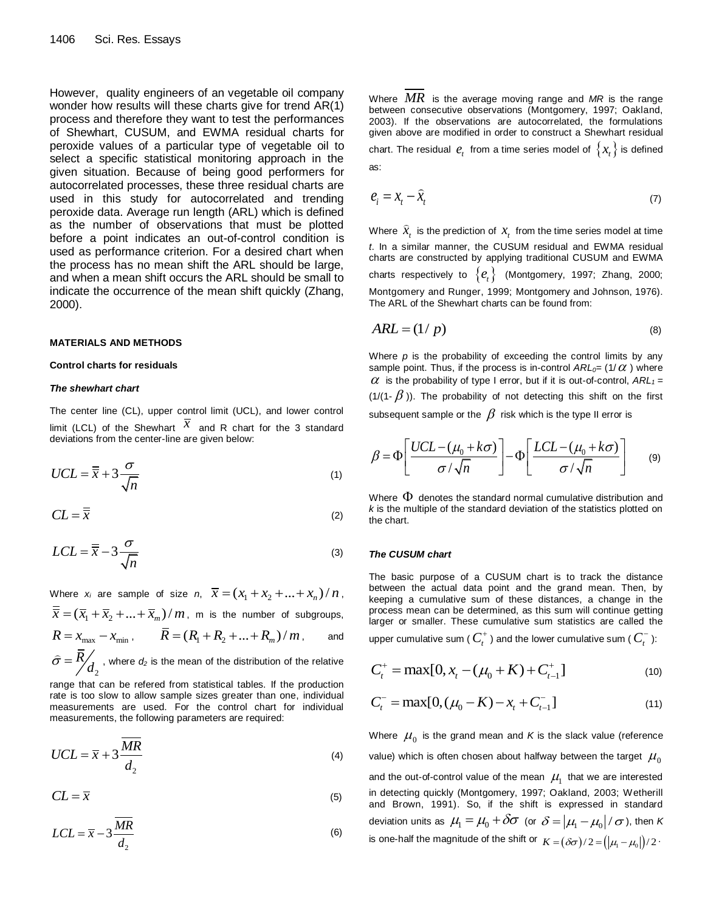However, quality engineers of an vegetable oil company wonder how results will these charts give for trend AR(1) process and therefore they want to test the performances of Shewhart, CUSUM, and EWMA residual charts for peroxide values of a particular type of vegetable oil to select a specific statistical monitoring approach in the given situation. Because of being good performers for autocorrelated processes, these three residual charts are used in this study for autocorrelated and trending peroxide data. Average run length (ARL) which is defined as the number of observations that must be plotted before a point indicates an out-of-control condition is used as performance criterion. For a desired chart when the process has no mean shift the ARL should be large, and when a mean shift occurs the ARL should be small to indicate the occurrence of the mean shift quickly (Zhang, 2000).

## **MATERIALS AND METHODS**

## **Control charts for residuals**

## *The shewhart chart*

The center line (CL), upper control limit (UCL), and lower control limit (LCL) of the Shewhart  $\overline{x}$  and R chart for the 3 standard deviations from the center-line are given below:

$$
UCL = \overline{\overline{x}} + 3\frac{\sigma}{\sqrt{n}}
$$
 (1)

$$
CL = \overline{\overline{x}} \tag{2}
$$

$$
LCL = \overline{\overline{x}} - 3\frac{\sigma}{\sqrt{n}}
$$
 (3)

Where  $x_i$  are sample of size  $n, \overline{x} = (x_1 + x_2 + ... + x_n) / n$ ,  $\overline{\overline{x}}$  =  $(\overline{x}_1 + \overline{x}_2 + ... + \overline{x}_m) / m$ , m is the number of subgroups,  $R = x_{\text{max}} - x_{\text{min}}$ ,  $\overline{R} = (R_1 + R_2 + ... + R_m) / m$ , and 2 *R*  $\hat{\sigma} = \frac{R}{d_2}$ , where  $d_2$  is the mean of the distribution of the relative

range that can be refered from statistical tables. If the production rate is too slow to allow sample sizes greater than one, individual measurements are used. For the control chart for individual measurements, the following parameters are required:

$$
UCL = \overline{x} + 3\frac{\overline{MR}}{d_2} \tag{4}
$$

$$
CL = \overline{x} \tag{5}
$$

$$
LCL = \overline{x} - 3 \frac{\overline{MR}}{d_2} \tag{6}
$$

Where *MR* is the average moving range and *MR* is the range between consecutive observations (Montgomery, 1997; Oakland, 2003). If the observations are autocorrelated, the formulations given above are modified in order to construct a Shewhart residual chart. The residual  $e_{_t}$  from a time series model of  $\left\{ x_{_t}\right\}$  is defined as:

$$
e_i = x_t - \hat{x}_t \tag{7}
$$

Where  $\widehat{x}_{t}$  is the prediction of  $x_{t}$  from the time series model at time *t*. In a similar manner, the CUSUM residual and EWMA residual charts are constructed by applying traditional CUSUM and EWMA charts respectively to  $\left\{e_{_{t}}\right\}$  (Montgomery, 1997; Zhang, 2000; Montgomery and Runger, 1999; Montgomery and Johnson, 1976). The ARL of the Shewhart charts can be found from:

$$
ARL = (1/p) \tag{8}
$$

Where *p* is the probability of exceeding the control limits by any sample point. Thus, if the process is in-control  $ARL_{0}$  =  $(1/\alpha)$  where  $\alpha$  is the probability of type I error, but if it is out-of-control,  $ARL_1 =$ (1/(1-  $\beta$ )). The probability of not detecting this shift on the first

subsequent sample or the  $\,\beta\,$  risk which is the type II error is

$$
\beta = \Phi \left[ \frac{UCL - (\mu_0 + k\sigma)}{\sigma / \sqrt{n}} \right] - \Phi \left[ \frac{LCL - (\mu_0 + k\sigma)}{\sigma / \sqrt{n}} \right] \tag{9}
$$

Where  $\Phi$  denotes the standard normal cumulative distribution and *k* is the multiple of the standard deviation of the statistics plotted on the chart.

## *The CUSUM chart*

The basic purpose of a CUSUM chart is to track the distance between the actual data point and the grand mean. Then, by keeping a cumulative sum of these distances, a change in the process mean can be determined, as this sum will continue getting larger or smaller. These cumulative sum statistics are called the

upper cumulative sum (  $C_{t}^{+}$  ) and the lower cumulative sum (  $C_{t}^{-}$  ):

$$
C_t^+ = \max[0, x_t - (\mu_0 + K) + C_{t-1}^+]
$$
\n(10)

$$
C_t^- = \max[0, (\mu_0 - K) - x_t + C_{t-1}^-]
$$
\n(11)

Where  $\,\mu_0^{\phantom{\dag}}$  is the grand mean and  $\kappa$  is the slack value (reference value) which is often chosen about halfway between the target  $\,\mu_0^{}\,$ and the out-of-control value of the mean  $\mu_1^{\prime}$  that we are interested in detecting quickly (Montgomery, 1997; Oakland, 2003; Wetherill and Brown, 1991). So, if the shift is expressed in standard deviation units as  $\,\mu_{\!1}^{} \!=\! \mu_{\!0}^{} \!+\! \delta\sigma\,$  (or  $\,\delta\!=\! |\mu_{\!1}^{} \!-\! \mu_{\!0}^{}|/\,\sigma$  ), then  $K$ is one-half the magnitude of the shift or  $K = (\delta \sigma)/2 = (|\mu_{\text{i}} - \mu_{\text{o}}|)/2$ .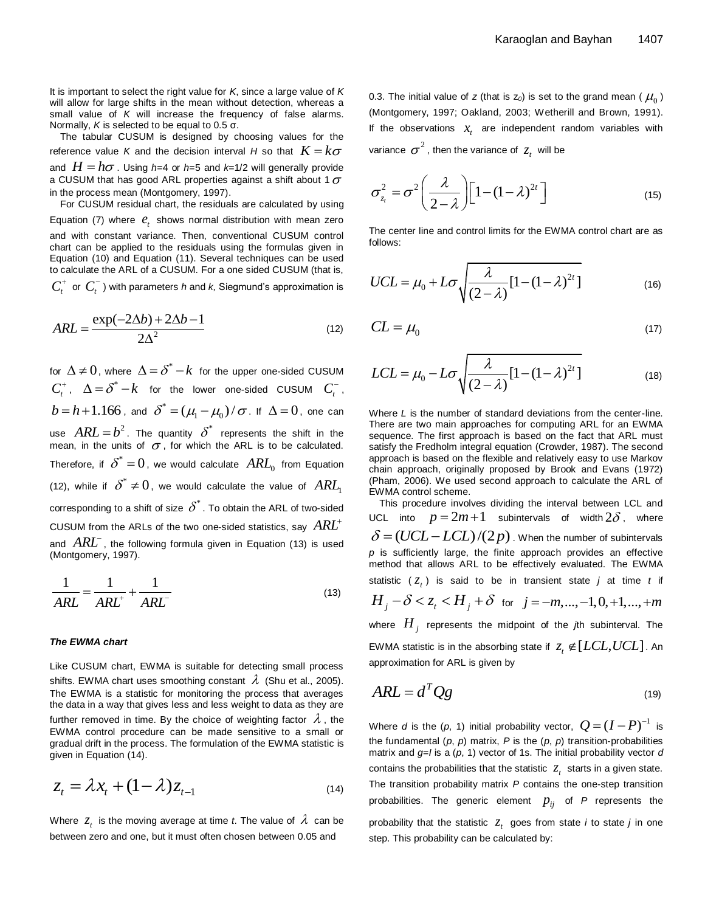It is important to select the right value for *K*, since a large value of *K* will allow for large shifts in the mean without detection, whereas a small value of *K* will increase the frequency of false alarms. Normally, *K* is selected to be equal to 0.5 σ.

The tabular CUSUM is designed by choosing values for the reference value  $\kappa$  and the decision interval  $H$  so that  $\overline{K} = k \sigma$ and  $H = h\sigma$  . Using *h*=4 or *h*=5 and *k*=1/2 will generally provide a CUSUM that has good ARL properties against a shift about 1  $\sigma$ in the process mean (Montgomery, 1997). For CUSUM residual chart, the residuals are calculated by using

Equation (7) where  $e_t$  shows normal distribution with mean zero and with constant variance. Then, conventional CUSUM control chart can be applied to the residuals using the formulas given in Equation (10) and Equation (11). Several techniques can be used to calculate the ARL of a CUSUM. For a one sided CUSUM (that is,  $C_t^+$  or  $C_t^-$  ) with parameters *h* and *k*, Siegmund's approximation is

$$
ARL = \frac{\exp(-2\Delta b) + 2\Delta b - 1}{2\Delta^2} \tag{12}
$$

for  $\Delta$   $\neq$   $0$ , where  $\Delta$   $=$   $\delta^*$   $k$  for the upper one-sided CUSUM  $C_t^+$ ,  $\Delta = \delta^* - k$  for the lower one-sided CUSUM  $C_t^-$ ,  $b = h + 1.166$  , and  $\delta^* = (\mu_1 - \mu_0) / \sigma$ . If  $\Delta = 0$  , one can use  $ARL = b^2$ . The quantity  $\delta^*$  represents the shift in the mean, in the units of  $\sigma$ , for which the ARL is to be calculated. Therefore, if  $\delta^*$   $=$   $0$  , we would calculate  $\,ARI_{0}\,$  from Equation (12), while if  $\delta^* \neq 0$ , we would calculate the value of  $AR\!I_1$ corresponding to a shift of size  $\delta^*$  . To obtain the ARL of two-sided <code>CUSUM</code> from the ARLs of the two one-sided statistics, say  $\left. ARL^{+}\right.$ and *ARL* , the following formula given in Equation (13) is used (Montgomery, 1997).

$$
\frac{1}{ARL} = \frac{1}{ARL^{+}} + \frac{1}{ARL^{-}}
$$
\n(13)

#### *The EWMA chart*

Like CUSUM chart, EWMA is suitable for detecting small process shifts. EWMA chart uses smoothing constant  $\,\lambda\,$  (Shu et al., 2005). The EWMA is a statistic for monitoring the process that averages the data in a way that gives less and less weight to data as they are further removed in time. By the choice of weighting factor  $\,\lambda$  , the EWMA control procedure can be made sensitive to a small or gradual drift in the process. The formulation of the EWMA statistic is given in Equation (14).

$$
z_t = \lambda x_t + (1 - \lambda) z_{t-1}
$$
\n<sup>(14)</sup>

Where  $z_{_t}$  is the moving average at time *t*. The value of  $\,\lambda\,$  can be between zero and one, but it must often chosen between 0.05 and

0.3. The initial value of *z* (that is z $_{0}$ ) is set to the grand mean (  $\mu_{0}^{}$  ) (Montgomery, 1997; Oakland, 2003; Wetherill and Brown, 1991). If the observations  $x<sub>t</sub>$  are independent random variables with variance  $\sigma^2$  , then the variance of  $z_t^{\phantom{\dag}}$  will be

$$
\sigma_{z_i}^2 = \sigma^2 \left(\frac{\lambda}{2-\lambda}\right) \left[1 - (1-\lambda)^{2t}\right]
$$
 (15)

The center line and control limits for the EWMA control chart are as follows:

$$
UCL = \mu_0 + L\sigma \sqrt{\frac{\lambda}{(2-\lambda)}[1 - (1-\lambda)^{2t}]} \tag{16}
$$

$$
CL = \mu_0 \tag{17}
$$

$$
LCL = \mu_0 - L\sigma \sqrt{\frac{\lambda}{(2-\lambda)}[1-(1-\lambda)^{2t}]} \tag{18}
$$

Where *L* is the number of standard deviations from the center-line. There are two main approaches for computing ARL for an EWMA sequence. The first approach is based on the fact that ARL must satisfy the Fredholm integral equation (Crowder, 1987). The second approach is based on the flexible and relatively easy to use Markov chain approach, originally proposed by Brook and Evans (1972) (Pham, 2006). We used second approach to calculate the ARL of EWMA control scheme.

This procedure involves dividing the interval between LCL and UCL into  $p = 2m + 1$  subintervals of width  $2\delta$ , where  $\delta = (UCL - LCL)/(2p)$ . When the number of subintervals *p* is sufficiently large, the finite approach provides an effective method that allows ARL to be effectively evaluated. The EWMA statistic  $(z_t)$  is said to be in transient state *j* at time *t* if  $H_j - \delta < z_t < H_j + \delta$  for  $j = -m, ..., -1, 0, +1, ..., +m$ 

where *H j* represents the midpoint of the *j*th subinterval. The EWMA statistic is in the absorbing state if  $z_{\rm\scriptscriptstyle T} \not\in [LCL, UCL]$  . An approximation for ARL is given by

$$
ARL = d^T Qg \tag{19}
$$

Where *d* is the (*p*, 1) initial probability vector,  $Q = (I - P)^{-1}$  is the fundamental  $(p, p)$  matrix,  $P$  is the  $(p, p)$  transition-probabilities matrix and *g*=*I* is a (*p*, 1) vector of 1s. The initial probability vector *d* contains the probabilities that the statistic  $z_t$  starts in a given state. The transition probability matrix *P* contains the one-step transition probabilities. The generic element  $p_{ij}$  of P represents the probability that the statistic  $z_t$  goes from state *i* to state *j* in one step. This probability can be calculated by: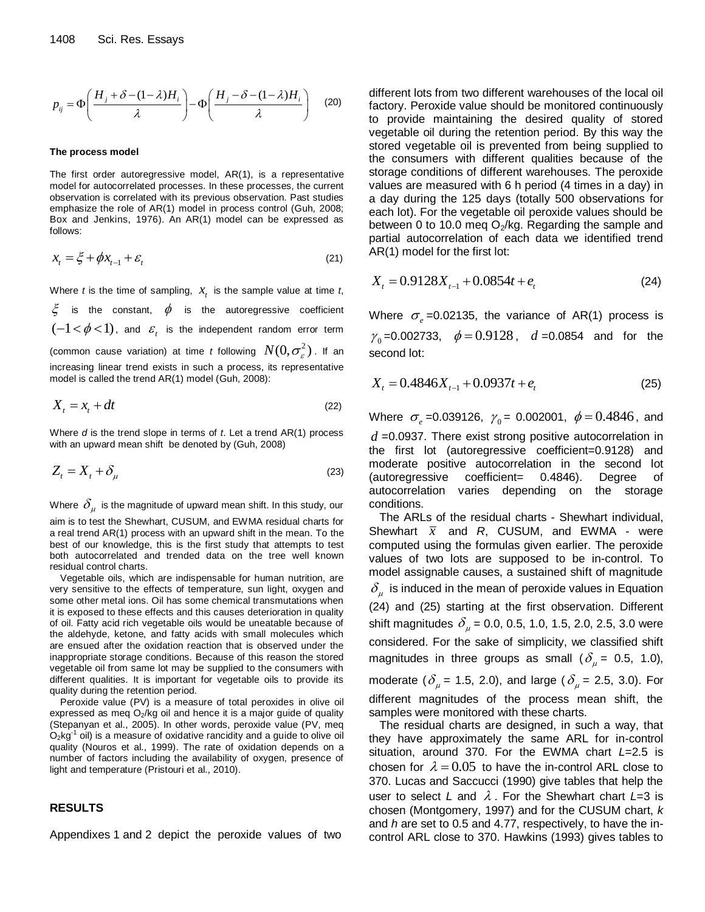$$
p_{ij} = \Phi\left(\frac{H_j + \delta - (1 - \lambda)H_i}{\lambda}\right) - \Phi\left(\frac{H_j - \delta - (1 - \lambda)H_i}{\lambda}\right) \quad (20)
$$

## **The process model**

The first order autoregressive model, AR(1), is a representative model for autocorrelated processes. In these processes, the current observation is correlated with its previous observation. Past studies emphasize the role of AR(1) model in process control (Guh, 2008; Box and Jenkins, 1976). An AR(1) model can be expressed as follows:

$$
x_t = \xi + \phi x_{t-1} + \varepsilon_t \tag{21}
$$

Where *t* is the time of sampling,  $x_t$  is the sample value at time *t*,

 $\xi$  is the constant,  $\phi$  is the autoregressive coefficient  $(-1 \lt \phi \lt 1)$ , and  $\varepsilon_{\iota}$  is the independent random error term (common cause variation) at time *t* following  $N(0,\sigma_{\varepsilon}^2)$  . If an increasing linear trend exists in such a process, its representative model is called the trend AR(1) model (Guh, 2008):

$$
X_t = x_t + dt \tag{22}
$$

Where *d* is the trend slope in terms of *t*. Let a trend AR(1) process with an upward mean shift be denoted by (Guh, 2008)

$$
Z_t = X_t + \delta_\mu \tag{23}
$$

Where  $\,\delta_{_{\mu}}\,$  is the magnitude of upward mean shift. In this study, our aim is to test the Shewhart, CUSUM, and EWMA residual charts for a real trend AR(1) process with an upward shift in the mean. To the best of our knowledge, this is the first study that attempts to test both autocorrelated and trended data on the tree well known residual control charts.

Vegetable oils, which are indispensable for human nutrition, are very sensitive to the effects of temperature, sun light, oxygen and some other metal ions. Oil has some chemical transmutations when it is exposed to these effects and this causes deterioration in quality of oil. Fatty acid rich vegetable oils would be uneatable because of the aldehyde, ketone, and fatty acids with small molecules which are ensued after the oxidation reaction that is observed under the inappropriate storage conditions. Because of this reason the stored vegetable oil from same lot may be supplied to the consumers with different qualities. It is important for vegetable oils to provide its quality during the retention period.

Peroxide value (PV) is a measure of total peroxides in olive oil expressed as meq  $O<sub>2</sub>/kg$  oil and hence it is a major guide of quality (Stepanyan et al., 2005). In other words, peroxide value (PV, meq  $O_2$ kg<sup>-1</sup> oil) is a measure of oxidative rancidity and a guide to olive oil quality (Nouros et al., 1999). The rate of oxidation depends on a number of factors including the availability of oxygen, presence of light and temperature (Pristouri et al., 2010).

# **RESULTS**

Appendixes 1 and 2 depict the peroxide values of two

different lots from two different warehouses of the local oil factory. Peroxide value should be monitored continuously to provide maintaining the desired quality of stored vegetable oil during the retention period. By this way the stored vegetable oil is prevented from being supplied to the consumers with different qualities because of the storage conditions of different warehouses. The peroxide values are measured with 6 h period (4 times in a day) in a day during the 125 days (totally 500 observations for each lot). For the vegetable oil peroxide values should be between 0 to 10.0 meg  $O_2/kg$ . Regarding the sample and partial autocorrelation of each data we identified trend AR(1) model for the first lot:

$$
X_t = 0.9128X_{t-1} + 0.0854t + e_t
$$
 (24)

Where  $\sigma_{e}$  =0.02135, the variance of AR(1) process is  $\gamma_0$ =0.002733,  $\phi = 0.9128$ ,  $d = 0.0854$  and for the second lot:

$$
X_t = 0.4846X_{t-1} + 0.0937t + e_t
$$
 (25)

Where  $\sigma_e$  =0.039126,  $\gamma_0$  = 0.002001,  $\phi$  = 0.4846, and *d* =0.0937. There exist strong positive autocorrelation in the first lot (autoregressive coefficient=0.9128) and moderate positive autocorrelation in the second lot (autoregressive coefficient= 0.4846). Degree of autocorrelation varies depending on the storage conditions.

The ARLs of the residual charts - Shewhart individual, Shewhart  $\bar{x}$  and  $R$ , CUSUM, and EWMA - were computed using the formulas given earlier. The peroxide values of two lots are supposed to be in-control. To model assignable causes, a sustained shift of magnitude  $\delta_{\mu}^{\phantom{\dag}}$  is induced in the mean of peroxide values in Equation (24) and (25) starting at the first observation. Different shift magnitudes  $\delta_\mu$  = 0.0, 0.5, 1.0, 1.5, 2.0, 2.5, 3.0 were considered. For the sake of simplicity, we classified shift magnitudes in three groups as small ( $\delta_{\mu}$  = 0.5, 1.0), moderate ( $\delta_{\mu}$  = 1.5, 2.0), and large ( $\delta_{\mu}$  = 2.5, 3.0). For different magnitudes of the process mean shift, the samples were monitored with these charts.

The residual charts are designed, in such a way, that they have approximately the same ARL for in-control situation, around 370. For the EWMA chart *L*=2.5 is chosen for  $\lambda = 0.05$  to have the in-control ARL close to 370. Lucas and Saccucci (1990) give tables that help the user to select *L* and . For the Shewhart chart *L*=3 is chosen (Montgomery, 1997) and for the CUSUM chart, *k* and *h* are set to 0.5 and 4.77, respectively, to have the incontrol ARL close to 370. Hawkins (1993) gives tables to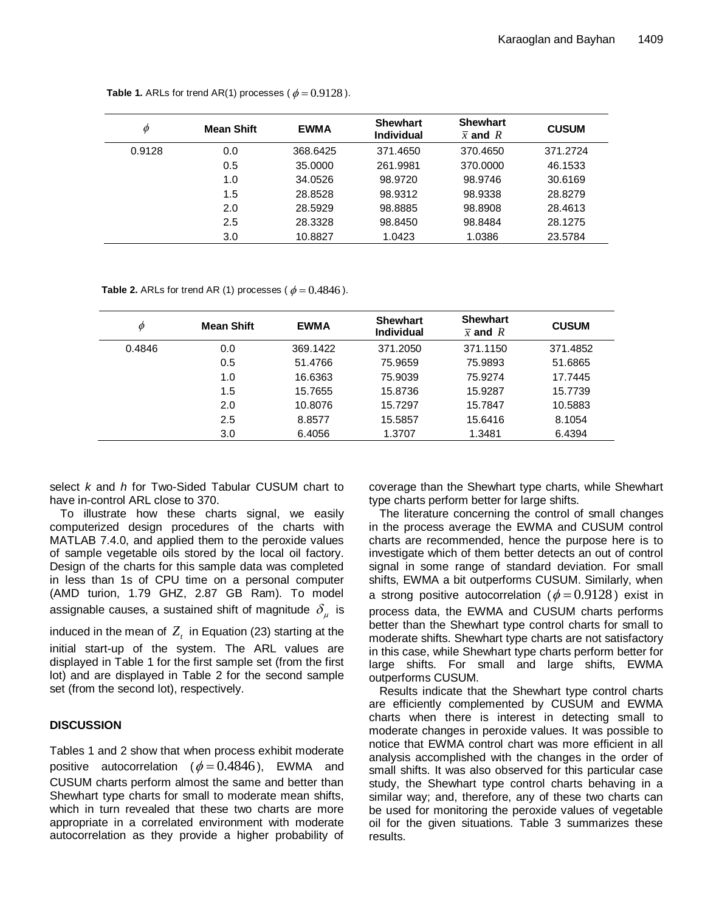| Ø      | <b>Mean Shift</b> | <b>EWMA</b> | <b>Shewhart</b><br><b>Individual</b> | <b>Shewhart</b><br>$\bar{x}$ and R | <b>CUSUM</b> |
|--------|-------------------|-------------|--------------------------------------|------------------------------------|--------------|
| 0.9128 | 0.0               | 368.6425    | 371.4650                             | 370.4650                           | 371.2724     |
|        | 0.5               | 35,0000     | 261.9981                             | 370,0000                           | 46.1533      |
|        | 1.0               | 34.0526     | 98.9720                              | 98.9746                            | 30.6169      |
|        | 1.5               | 28.8528     | 98.9312                              | 98.9338                            | 28.8279      |
|        | 2.0               | 28.5929     | 98.8885                              | 98.8908                            | 28.4613      |
|        | 2.5               | 28.3328     | 98.8450                              | 98.8484                            | 28.1275      |
|        | 3.0               | 10.8827     | 1.0423                               | 1.0386                             | 23.5784      |

**Table 1.** ARLs for trend AR(1) processes ( $\phi = 0.9128$ ).

**Table 2.** ARLs for trend AR (1) processes ( $\phi = 0.4846$ ).

| Φ      | <b>Mean Shift</b> | <b>EWMA</b> | <b>Shewhart</b><br><b>Individual</b> | <b>Shewhart</b><br>$\bar{x}$ and R | <b>CUSUM</b> |
|--------|-------------------|-------------|--------------------------------------|------------------------------------|--------------|
| 0.4846 | 0.0               | 369.1422    | 371.2050                             | 371.1150                           | 371.4852     |
|        | 0.5               | 51.4766     | 75.9659                              | 75.9893                            | 51.6865      |
|        | 1.0               | 16.6363     | 75.9039                              | 75.9274                            | 17.7445      |
|        | 1.5               | 15.7655     | 15.8736                              | 15.9287                            | 15.7739      |
|        | 2.0               | 10.8076     | 15.7297                              | 15.7847                            | 10.5883      |
|        | 2.5               | 8.8577      | 15.5857                              | 15.6416                            | 8.1054       |
|        | 3.0               | 6.4056      | 1.3707                               | 1.3481                             | 6.4394       |

select *k* and *h* for Two-Sided Tabular CUSUM chart to have in-control ARL close to 370.

To illustrate how these charts signal, we easily computerized design procedures of the charts with MATLAB 7.4.0, and applied them to the peroxide values of sample vegetable oils stored by the local oil factory. Design of the charts for this sample data was completed in less than 1s of CPU time on a personal computer (AMD turion, 1.79 GHZ, 2.87 GB Ram). To model assignable causes, a sustained shift of magnitude  $\delta_{_\mu}$  is

induced in the mean of  $Z_t$  in Equation (23) starting at the

initial start-up of the system. The ARL values are displayed in Table 1 for the first sample set (from the first lot) and are displayed in Table 2 for the second sample set (from the second lot), respectively.

# **DISCUSSION**

Tables 1 and 2 show that when process exhibit moderate positive autocorrelation ( $\phi = 0.4846$ ), EWMA and CUSUM charts perform almost the same and better than Shewhart type charts for small to moderate mean shifts, which in turn revealed that these two charts are more appropriate in a correlated environment with moderate autocorrelation as they provide a higher probability of

coverage than the Shewhart type charts, while Shewhart type charts perform better for large shifts.

The literature concerning the control of small changes in the process average the EWMA and CUSUM control charts are recommended, hence the purpose here is to investigate which of them better detects an out of control signal in some range of standard deviation. For small shifts, EWMA a bit outperforms CUSUM. Similarly, when a strong positive autocorrelation ( $\phi = 0.9128$ ) exist in process data, the EWMA and CUSUM charts performs better than the Shewhart type control charts for small to moderate shifts. Shewhart type charts are not satisfactory in this case, while Shewhart type charts perform better for large shifts. For small and large shifts, EWMA outperforms CUSUM.

Results indicate that the Shewhart type control charts are efficiently complemented by CUSUM and EWMA charts when there is interest in detecting small to moderate changes in peroxide values. It was possible to notice that EWMA control chart was more efficient in all analysis accomplished with the changes in the order of small shifts. It was also observed for this particular case study, the Shewhart type control charts behaving in a similar way; and, therefore, any of these two charts can be used for monitoring the peroxide values of vegetable oil for the given situations. Table 3 summarizes these results.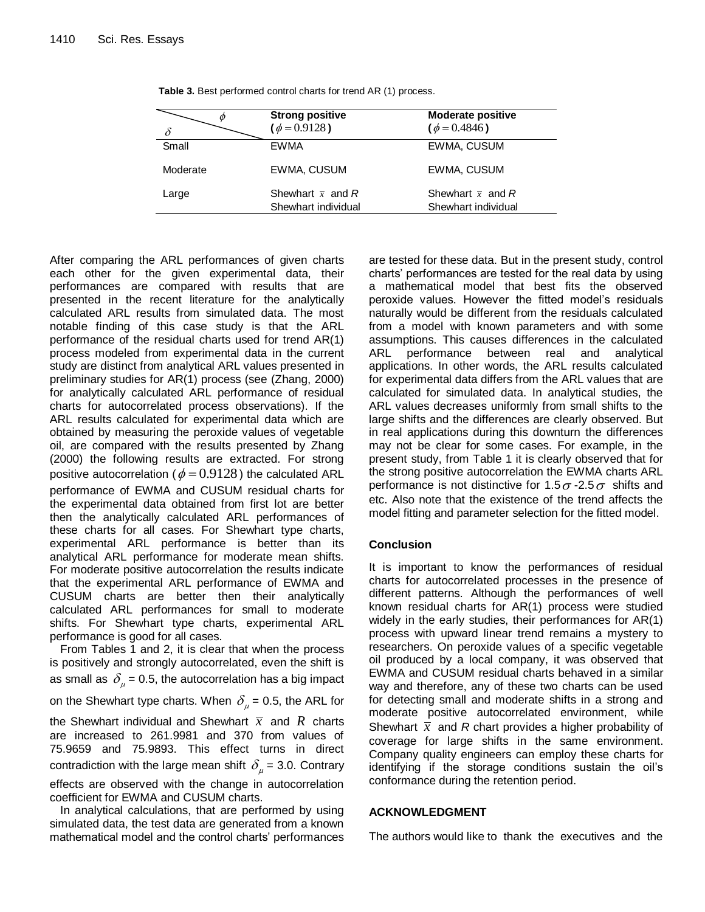|          | <b>Strong positive</b><br>$(\phi = 0.9128)$     | <b>Moderate positive</b><br>$(\phi = 0.4846)$   |
|----------|-------------------------------------------------|-------------------------------------------------|
| Small    | <b>EWMA</b>                                     | EWMA, CUSUM                                     |
| Moderate | EWMA, CUSUM                                     | EWMA, CUSUM                                     |
| Large    | Shewhart $\bar{x}$ and R<br>Shewhart individual | Shewhart $\bar{x}$ and R<br>Shewhart individual |

**Table 3.** Best performed control charts for trend AR (1) process.

After comparing the ARL performances of given charts each other for the given experimental data, their performances are compared with results that are presented in the recent literature for the analytically calculated ARL results from simulated data. The most notable finding of this case study is that the ARL performance of the residual charts used for trend AR(1) process modeled from experimental data in the current study are distinct from analytical ARL values presented in preliminary studies for AR(1) process (see (Zhang, 2000) for analytically calculated ARL performance of residual charts for autocorrelated process observations). If the ARL results calculated for experimental data which are obtained by measuring the peroxide values of vegetable oil, are compared with the results presented by Zhang (2000) the following results are extracted. For strong positive autocorrelation (  $\phi$  =  $0.9128$  ) the calculated ARL performance of EWMA and CUSUM residual charts for the experimental data obtained from first lot are better then the analytically calculated ARL performances of these charts for all cases. For Shewhart type charts, experimental ARL performance is better than its analytical ARL performance for moderate mean shifts. For moderate positive autocorrelation the results indicate that the experimental ARL performance of EWMA and CUSUM charts are better then their analytically calculated ARL performances for small to moderate shifts. For Shewhart type charts, experimental ARL performance is good for all cases.

From Tables 1 and 2, it is clear that when the process is positively and strongly autocorrelated, even the shift is as small as  $\delta_{\mu}$  = 0.5, the autocorrelation has a big impact on the Shewhart type charts. When  $\delta_\mu$  = 0.5, the ARL for the Shewhart individual and Shewhart  $\bar{x}$  and  $R$  charts are increased to 261.9981 and 370 from values of 75.9659 and 75.9893. This effect turns in direct contradiction with the large mean shift  $\delta_{_\mu}$  = 3.0. Contrary effects are observed with the change in autocorrelation coefficient for EWMA and CUSUM charts.

In analytical calculations, that are performed by using simulated data, the test data are generated from a known mathematical model and the control charts' performances are tested for these data. But in the present study, control charts' performances are tested for the real data by using a mathematical model that best fits the observed peroxide values. However the fitted model's residuals naturally would be different from the residuals calculated from a model with known parameters and with some assumptions. This causes differences in the calculated ARL performance between real and analytical applications. In other words, the ARL results calculated for experimental data differs from the ARL values that are calculated for simulated data. In analytical studies, the ARL values decreases uniformly from small shifts to the large shifts and the differences are clearly observed. But in real applications during this downturn the differences may not be clear for some cases. For example, in the present study, from Table 1 it is clearly observed that for the strong positive autocorrelation the EWMA charts ARL performance is not distinctive for 1.5  $\sigma$  -2.5  $\sigma$  shifts and etc. Also note that the existence of the trend affects the model fitting and parameter selection for the fitted model.

# **Conclusion**

It is important to know the performances of residual charts for autocorrelated processes in the presence of different patterns. Although the performances of well known residual charts for AR(1) process were studied widely in the early studies, their performances for AR(1) process with upward linear trend remains a mystery to researchers. On peroxide values of a specific vegetable oil produced by a local company, it was observed that EWMA and CUSUM residual charts behaved in a similar way and therefore, any of these two charts can be used for detecting small and moderate shifts in a strong and moderate positive autocorrelated environment, while Shewhart  $\bar{x}$  and *R* chart provides a higher probability of coverage for large shifts in the same environment. Company quality engineers can employ these charts for identifying if the storage conditions sustain the oil's conformance during the retention period.

# **ACKNOWLEDGMENT**

The authors would like to thank the executives and the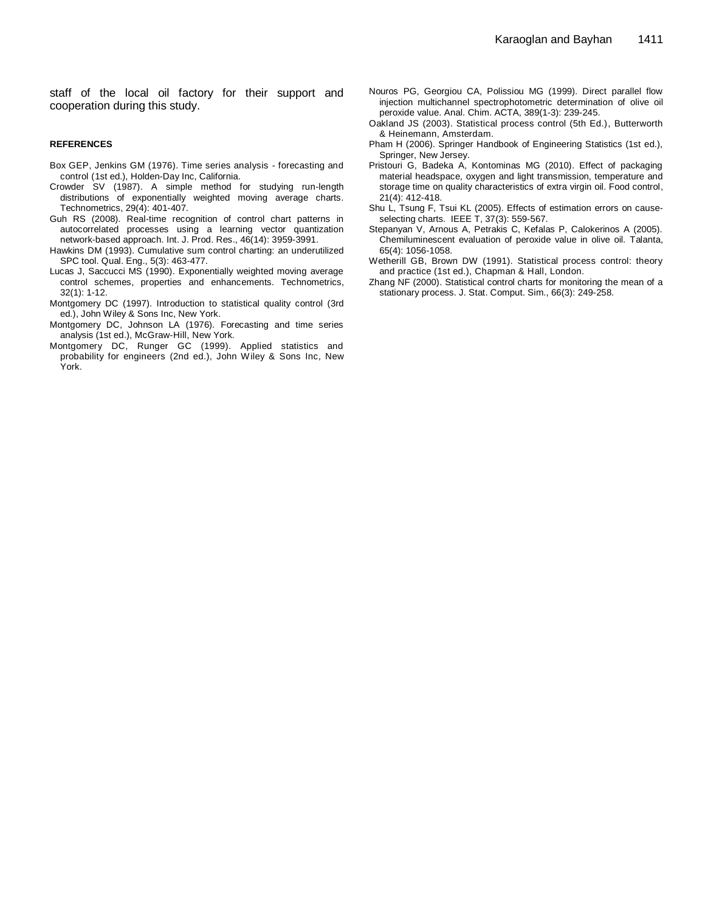staff of the local oil factory for their support and cooperation during this study.

## **REFERENCES**

- Box GEP, Jenkins GM (1976). Time series analysis forecasting and control (1st ed.), Holden-Day Inc, California.
- Crowder SV (1987). A simple method for studying run-length distributions of exponentially weighted moving average charts. Technometrics, 29(4): 401-407.
- Guh RS (2008). Real-time recognition of control chart patterns in autocorrelated processes using a learning vector quantization network-based approach. Int. J. Prod. Res., 46(14): 3959-3991.
- Hawkins DM (1993). Cumulative sum control charting: an underutilized SPC tool. Qual. Eng., 5(3): 463-477.
- Lucas J, Saccucci MS (1990). Exponentially weighted moving average control schemes, properties and enhancements. Technometrics, 32(1): 1-12.
- Montgomery DC (1997). Introduction to statistical quality control (3rd ed.), John Wiley & Sons Inc, New York.
- Montgomery DC, Johnson LA (1976). Forecasting and time series analysis (1st ed.), McGraw-Hill, New York.
- Montgomery DC, Runger GC (1999). Applied statistics and probability for engineers (2nd ed.), John Wiley & Sons Inc, New York.
- Nouros PG, Georgiou CA, Polissiou MG (1999). Direct parallel flow injection multichannel spectrophotometric determination of olive oil peroxide value. Anal. Chim. ACTA, 389(1-3): 239-245.
- Oakland JS (2003). Statistical process control (5th Ed.), Butterworth & Heinemann, Amsterdam.
- Pham H (2006). Springer Handbook of Engineering Statistics (1st ed.), Springer, New Jersey.
- Pristouri G, Badeka A, Kontominas MG (2010). Effect of packaging material headspace, oxygen and light transmission, temperature and storage time on quality characteristics of extra virgin oil. Food control, 21(4): 412-418.
- Shu L, Tsung F, Tsui KL (2005). Effects of estimation errors on causeselecting charts. IEEE T, 37(3): 559-567.
- Stepanyan V, Arnous A, Petrakis C, Kefalas P, Calokerinos A (2005). Chemiluminescent evaluation of peroxide value in olive oil. Talanta, 65(4): 1056-1058.
- Wetherill GB, Brown DW (1991). Statistical process control: theory and practice (1st ed.), Chapman & Hall, London.
- Zhang NF (2000). Statistical control charts for monitoring the mean of a stationary process. J. Stat. Comput. Sim., 66(3): 249-258.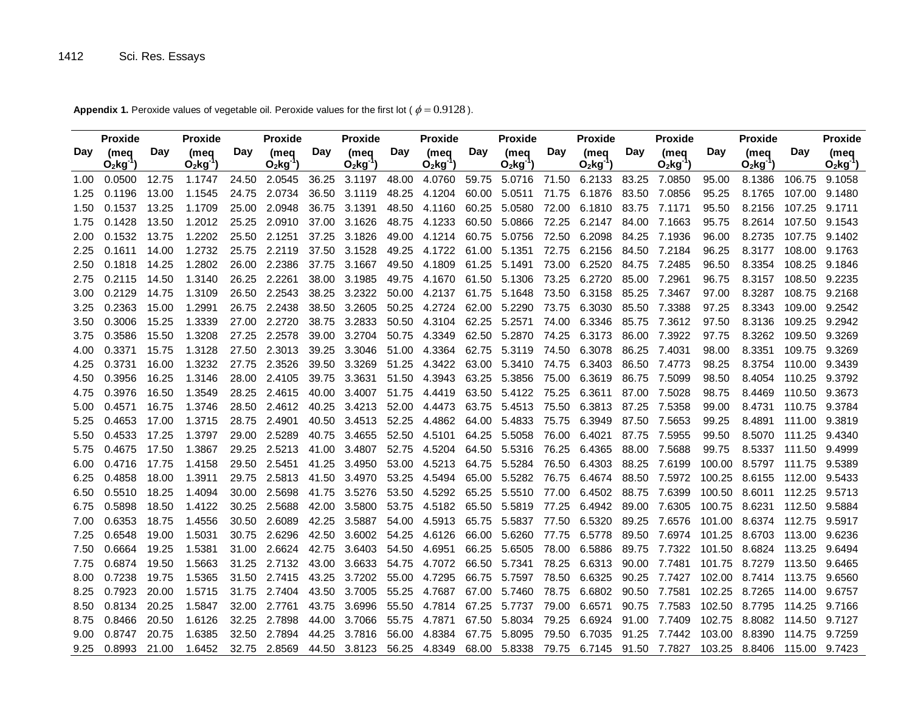**Day (meq Proxide O2kg-1 ) Day Proxide (meq O2kg-1 ) Day Proxide (meq O2kg-1 ) Day Proxide (meq O2kg-1 ) Day Proxide (meq O2kg-1 ) Day Proxide (meq O2kg-1 ) Day Proxide (meq O2kg-1 ) Day Proxide (meq O2kg-1 ) Day Proxide (meq O2kg-1 ) Day Proxide (meq**   $O_2$  $kg^{-1}$ 1.00 0.0500 12.75 1.1747 24.50 2.0545 36.25 3.1197 48.00 4.0760 59.75 5.0716 71.50 6.2133 83.25 7.0850 95.00 8.1386 106.75 9.1058 1.25 0.1196 13.00 1.1545 24.75 2.0734 36.50 3.1119 48.25 4.1204 60.00 5.0511 71.75 6.1876 83.50 7.0856 95.25 8.1765 107.00 9.1480 1.50 0.1537 13.25 1.1709 25.00 2.0948 36.75 3.1391 48.50 4.1160 60.25 5.0580 72.00 6.1810 83.75 7.1171 95.50 8.2156 107.25 9.1711 1.75 0.1428 13.50 1.2012 25.25 2.0910 37.00 3.1626 48.75 4.1233 60.50 5.0866 72.25 6.2147 84.00 7.1663 95.75 8.2614 107.50 9.1543 2.00 0.1532 13.75 1.2202 25.50 2.1251 37.25 3.1826 49.00 4.1214 60.75 5.0756 72.50 6.2098 84.25 7.1936 96.00 8.2735 107.75 9.1402 2.25 0.1611 14.00 1.2732 25.75 2.2119 37.50 3.1528 49.25 4.1722 61.00 5.1351 72.75 6.2156 84.50 7.2184 96.25 8.3177 108.00 9.1763 2.50 0.1818 14.25 1.2802 26.00 2.2386 37.75 3.1667 49.50 4.1809 61.25 5.1491 73.00 6.2520 84.75 7.2485 96.50 8.3354 108.25 9.1846 2.75 0.2115 14.50 1.3140 26.25 2.2261 38.00 3.1985 49.75 4.1670 61.50 5.1306 73.25 6.2720 85.00 7.2961 96.75 8.3157 108.50 9.2235 3.00 0.2129 14.75 1.3109 26.50 2.2543 38.25 3.2322 50.00 4.2137 61.75 5.1648 73.50 6.3158 85.25 7.3467 97.00 8.3287 108.75 9.2168 3.25 0.2363 15.00 1.2991 26.75 2.2438 38.50 3.2605 50.25 4.2724 62.00 5.2290 73.75 6.3030 85.50 7.3388 97.25 8.3343 109.00 9.2542 3.50 0.3006 15.25 1.3339 27.00 2.2720 38.75 3.2833 50.50 4.3104 62.25 5.2571 74.00 6.3346 85.75 7.3612 97.50 8.3136 109.25 9.2942 3.75 0.3586 15.50 1.3208 27.25 2.2578 39.00 3.2704 50.75 4.3349 62.50 5.2870 74.25 6.3173 86.00 7.3922 97.75 8.3262 109.50 9.3269 4.00 0.3371 15.75 1.3128 27.50 2.3013 39.25 3.3046 51.00 4.3364 62.75 5.3119 74.50 6.3078 86.25 7.4031 98.00 8.3351 109.75 9.3269 4.25 0.3731 16.00 1.3232 27.75 2.3526 39.50 3.3269 51.25 4.3422 63.00 5.3410 74.75 6.3403 86.50 7.4773 98.25 8.3754 110.00 9.3439 4.50 0.3956 16.25 1.3146 28.00 2.4105 39.75 3.3631 51.50 4.3943 63.25 5.3856 75.00 6.3619 86.75 7.5099 98.50 8.4054 110.25 9.3792 4.75 0.3976 16.50 1.3549 28.25 2.4615 40.00 3.4007 51.75 4.4419 63.50 5.4122 75.25 6.3611 87.00 7.5028 98.75 8.4469 110.50 9.3673 5.00 0.4571 16.75 1.3746 28.50 2.4612 40.25 3.4213 52.00 4.4473 63.75 5.4513 75.50 6.3813 87.25 7.5358 99.00 8.4731 110.75 9.3784 5.25 0.4653 17.00 1.3715 28.75 2.4901 40.50 3.4513 52.25 4.4862 64.00 5.4833 75.75 6.3949 87.50 7.5653 99.25 8.4891 111.00 9.3819 5.50 0.4533 17.25 1.3797 29.00 2.5289 40.75 3.4655 52.50 4.5101 64.25 5.5058 76.00 6.4021 87.75 7.5955 99.50 8.5070 111.25 9.4340 5.75 0.4675 17.50 1.3867 29.25 2.5213 41.00 3.4807 52.75 4.5204 64.50 5.5316 76.25 6.4365 88.00 7.5688 99.75 8.5337 111.50 9.4999 6.00 0.4716 17.75 1.4158 29.50 2.5451 41.25 3.4950 53.00 4.5213 64.75 5.5284 76.50 6.4303 88.25 7.6199 100.00 8.5797 111.75 9.5389 6.25 0.4858 18.00 1.3911 29.75 2.5813 41.50 3.4970 53.25 4.5494 65.00 5.5282 76.75 6.4674 88.50 7.5972 100.25 8.6155 112.00 9.5433 6.50 0.5510 18.25 1.4094 30.00 2.5698 41.75 3.5276 53.50 4.5292 65.25 5.5510 77.00 6.4502 88.75 7.6399 100.50 8.6011 112.25 9.5713 6.75 0.5898 18.50 1.4122 30.25 2.5688 42.00 3.5800 53.75 4.5182 65.50 5.5819 77.25 6.4942 89.00 7.6305 100.75 8.6231 112.50 9.5884 7.00 0.6353 18.75 1.4556 30.50 2.6089 42.25 3.5887 54.00 4.5913 65.75 5.5837 77.50 6.5320 89.25 7.6576 101.00 8.6374 112.75 9.5917 7.25 0.6548 19.00 1.5031 30.75 2.6296 42.50 3.6002 54.25 4.6126 66.00 5.6260 77.75 6.5778 89.50 7.6974 101.25 8.6703 113.00 9.6236 7.50 0.6664 19.25 1.5381 31.00 2.6624 42.75 3.6403 54.50 4.6951 66.25 5.6505 78.00 6.5886 89.75 7.7322 101.50 8.6824 113.25 9.6494 7.75 0.6874 19.50 1.5663 31.25 2.7132 43.00 3.6633 54.75 4.7072 66.50 5.7341 78.25 6.6313 90.00 7.7481 101.75 8.7279 113.50 9.6465 8.00 0.7238 19.75 1.5365 31.50 2.7415 43.25 3.7202 55.00 4.7295 66.75 5.7597 78.50 6.6325 90.25 7.7427 102.00 8.7414 113.75 9.6560 8.25 0.7923 20.00 1.5715 31.75 2.7404 43.50 3.7005 55.25 4.7687 67.00 5.7460 78.75 6.6802 90.50 7.7581 102.25 8.7265 114.00 9.6757 8.50 0.8134 20.25 1.5847 32.00 2.7761 43.75 3.6996 55.50 4.7814 67.25 5.7737 79.00 6.6571 90.75 7.7583 102.50 8.7795 114.25 9.7166 8.75 0.8466 20.50 1.6126 32.25 2.7898 44.00 3.7066 55.75 4.7871 67.50 5.8034 79.25 6.6924 91.00 7.7409 102.75 8.8082 114.50 9.7127 9.00 0.8747 20.75 1.6385 32.50 2.7894 44.25 3.7816 56.00 4.8384 67.75 5.8095 79.50 6.7035 91.25 7.7442 103.00 8.8390 114.75 9.7259 9.25 0.8993 21.00 1.6452 32.75 2.8569 44.50 3.8123 56.25 4.8349 68.00 5.8338 79.75 6.7145 91.50 7.7827 103.25 8.8406 115.00 9.7423

**Appendix 1.** Peroxide values of vegetable oil. Peroxide values for the first lot ( $\phi = 0.9128$ ).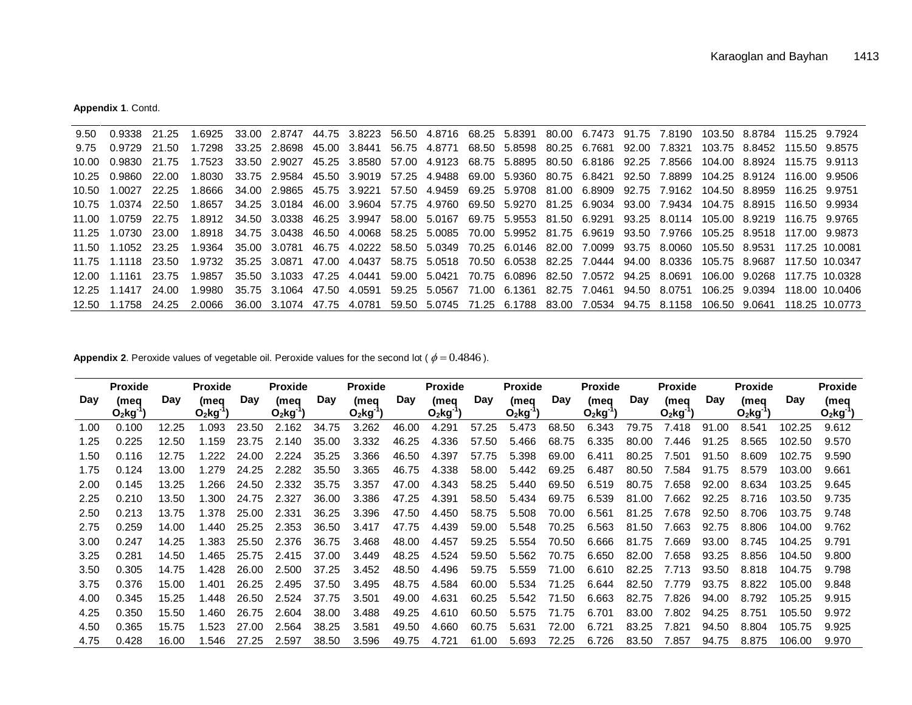**Appendix 1**. Contd.

| 9.50    | 0.9338             | -21.25  | 1.6925                                                                                                            |              | 33.00 2.8747 44.75 3.8223 56.50 4.8716 68.25 5.8391 80.00 6.7473 91.75 7.8190 103.50 8.8784 115.25 9.7924 |  |  |  |  |  |                                                                                                                   |
|---------|--------------------|---------|-------------------------------------------------------------------------------------------------------------------|--------------|-----------------------------------------------------------------------------------------------------------|--|--|--|--|--|-------------------------------------------------------------------------------------------------------------------|
| 9.75    | 0.9729 21.50       |         | 1.7298                                                                                                            |              | 33.25 2.8698 45.00 3.8441 56.75 4.8771 68.50 5.8598 80.25 6.7681 92.00 7.8321 103.75 8.8452 115.50 9.8575 |  |  |  |  |  |                                                                                                                   |
| 10.00   | 0.9830 21.75       |         | 1.7523 33.50 2.9027 45.25 3.8580 57.00 4.9123 68.75 5.8895 80.50 6.8186 92.25 7.8566 104.00 8.8924 115.75 9.9113  |              |                                                                                                           |  |  |  |  |  |                                                                                                                   |
|         | 10.25 0.9860 22.00 |         | 1.8030 33.75 2.9584 45.50 3.9019 57.25 4.9488 69.00 5.9360 80.75 6.8421 92.50 7.8899 104.25 8.9124 116.00 9.9506  |              |                                                                                                           |  |  |  |  |  |                                                                                                                   |
| 10.50   | 1.0027 22.25       |         | 1.8666 34.00 2.9865 45.75 3.9221 57.50 4.9459 69.25 5.9708 81.00 6.8909 92.75 7.9162 104.50 8.8959 116.25 9.9751  |              |                                                                                                           |  |  |  |  |  |                                                                                                                   |
| 10.75   | 1.0374 22.50       |         | .8657                                                                                                             |              | 34.25 3.0184 46.00 3.9604 57.75 4.9760 69.50 5.9270 81.25 6.9034 93.00 7.9434 104.75 8.8915 116.50 9.9934 |  |  |  |  |  |                                                                                                                   |
| 11 OO - | 1.0759 22.75       |         | 1.8912 34.50 3.0338 46.25 3.9947 58.00 5.0167 69.75 5.9553 81.50 6.9291 93.25 8.0114 105.00 8.9219 116.75 9.9765  |              |                                                                                                           |  |  |  |  |  |                                                                                                                   |
|         | 11 25 1 0730 23 00 |         | 1.8918 34.75 3.0438 46.50 4.0068 58.25 5.0085 70.00 5.9952 81.75 6.9619 93.50 7.9766 105.25 8.9518 117.00 9.9873  |              |                                                                                                           |  |  |  |  |  |                                                                                                                   |
|         |                    |         | 1.9364 35.00 3.0781 46.75 4.0222 58.50 5.0349 70.25 6.0146 82.00 7.0099 93.75 8.0060 105.50 8.9531 117.25 10.0081 |              |                                                                                                           |  |  |  |  |  |                                                                                                                   |
|         | 11.75 1.1118 23.50 |         | 1.9732                                                                                                            | 35.25 3.0871 | 47.00 4.0437 58.75 5.0518 70.50 6.0538 82.25 7.0444 94.00 8.0336 105.75 8.9687                            |  |  |  |  |  | 117.50 10.0347                                                                                                    |
|         |                    | 23.75   | 1.9857                                                                                                            |              |                                                                                                           |  |  |  |  |  | 35.50 3.1033 47.25 4.0441 59.00 5.0421 70.75 6.0896 82.50 7.0572 94.25 8.0691 106.00 9.0268 117.75 10.0328        |
|         | 12.25 1.1417       | 24.OO   |                                                                                                                   |              |                                                                                                           |  |  |  |  |  | 1.9980 35.75 3.1064 47.50 4.0591 59.25 5.0567 71.00 6.1361 82.75 7.0461 94.50 8.0751 106.25 9.0394 118.00 10.0406 |
|         | 1 1758             | - 24.25 | 2 0066                                                                                                            |              |                                                                                                           |  |  |  |  |  | 36.00 3.1074 47.75 4.0781 59.50 5.0745 71.25 6.1788 83.00 7.0534 94.75 8.1158 106.50 9.0641 118.25 10.0773        |

**Appendix 2.** Peroxide values of vegetable oil. Peroxide values for the second lot ( $\phi = 0.4846$ ).

|      | <b>Proxide</b>   |       | <b>Proxide</b>   |       | <b>Proxide</b>  |       | <b>Proxide</b>   |       | <b>Proxide</b>   |       | <b>Proxide</b>   |            | <b>Proxide</b>   |       | <b>Proxide</b>   |       | <b>Proxide</b>   |        | <b>Proxide</b>                 |
|------|------------------|-------|------------------|-------|-----------------|-------|------------------|-------|------------------|-------|------------------|------------|------------------|-------|------------------|-------|------------------|--------|--------------------------------|
| Day  | (meg<br>$O_2$ kg | Day   | (meg<br>$O_2$ kg | Day   | (meg<br>$O2$ kg | Day   | (mea<br>$O_2$ kg | Day   | (meg<br>$O_2$ kg | Day   | (meg<br>$O_2$ kg | Day        | (meg<br>$O_2$ kg | Day   | (mea<br>$O_2$ kg | Day   | (mea<br>$O_2$ kg | Day    | (meg<br>$O_2$ kg $^{\cdot}$ ') |
| 1.00 | 0.100            | 12.25 | .093             | 23.50 | 2.162           | 34.75 | 3.262            | 46.00 | 4.291            | 57.25 | 5.473            | 68.50      | 6.343            | 79.75 | 7.418            | 91.00 | 8.541            | 102.25 | 9.612                          |
| 1.25 | 0.225            | 12.50 | 1.159            | 23.75 | 2.140           | 35.00 | 3.332            | 46.25 | 4.336            | 57.50 | 5.466            | 68.<br>.75 | 6.335            | 80.00 | .446             | 91.25 | 8.565            | 102.50 | 9.570                          |
| 1.50 | 0.116            | 12.75 | .222             | 24.00 | 2.224           | 35.25 | 3.366            | 46.50 | 4.397            | 57.75 | 5.398            | 69.00      | 6.411            | 80.25 | 7.501            | 91.50 | 8.609            | 102.75 | 9.590                          |
| 1.75 | 0.124            | 13.00 | .279             | 24.25 | 2.282           | 35.50 | 3.365            | 46.75 | 4.338            | 58.00 | 5.442            | 69.25      | 6.487            | 80.50 | 7.584            | 91.75 | 8.579            | 103.00 | 9.661                          |
| 2.00 | 0.145            | 13.25 | .266             | 24.50 | 2.332           | 35.75 | 3.357            | 47.00 | 4.343            | 58.25 | 5.440            | 69.50      | 6.519            | 80.75 | 7.658            | 92.00 | 8.634            | 103.25 | 9.645                          |
| 2.25 | 0.210            | 13.50 | .300             | 24.75 | 2.327           | 36.00 | 3.386            | 47.25 | 4.391            | 58.50 | 5.434            | 69.75      | 6.539            | 81.00 | 7.662            | 92.25 | 8.716            | 103.50 | 9.735                          |
| 2.50 | 0.213            | 13.75 | 1.378            | 25.00 | 2.331           | 36.25 | 3.396            | 47.50 | 4.450            | 58.75 | 5.508            | 70.00      | 6.561            | 81.25 | 7.678            | 92.50 | 8.706            | 103.75 | 9.748                          |
| 2.75 | 0.259            | 14.00 | .440             | 25.25 | 2.353           | 36.50 | 3.417            | 47.75 | 4.439            | 59.00 | 5.548            | 70.25      | 6.563            | 81.50 | .663             | 92.75 | 8.806            | 104.00 | 9.762                          |
| 3.00 | 0.247            | 14.25 | .383             | 25.50 | 2.376           | 36.75 | 3.468            | 48.00 | 4.457            | 59.25 | 5.554            | 70.50      | 6.666            | 81.75 | .669             | 93.00 | 8.745            | 104.25 | 9.791                          |
| 3.25 | 0.281            | 14.50 | .465             | 25.75 | 2.415           | 37.00 | 3.449            | 48.25 | 4.524            | 59.50 | 5.562            | 70.75      | 6.650            | 82.00 | .658             | 93.25 | 8.856            | 104.50 | 9.800                          |
| 3.50 | 0.305            | 14.75 | .428             | 26.00 | 2.500           | 37.25 | 3.452            | 48.50 | 4.496            | 59.75 | 5.559            | 0.00<br>71 | 6.610            | 82.25 | 7.713            | 93.50 | 8.818            | 104.75 | 9.798                          |
| 3.75 | 0.376            | 15.00 | .401             | 26.25 | 2.495           | 37.50 | 3.495            | 48.75 | 4.584            | 60.00 | 5.534            | .25        | 6.644            | 82.50 | 7.779            | 93.75 | 8.822            | 105.00 | 9.848                          |
| 4.00 | 0.345            | 15.25 | .448             | 26.50 | 2.524           | 37.75 | 3.501            | 49.00 | 4.631            | 60.25 | 5.542            | .50        | 6.663            | 82.75 | 826.'            | 94.00 | 8.792            | 105.25 | 9.915                          |
| 4.25 | 0.350            | 15.50 | .460             | 26.75 | 2.604           | 38.00 | 3.488            | 49.25 | 4.610            | 60.50 | 5.575            | 71.75      | 6.701            | 83.00 | 2.802            | 94.25 | 8.751            | 105.50 | 9.972                          |
| 4.50 | 0.365            | 15.75 | .523             | 27.00 | 2.564           | 38.25 | 3.581            | 49.50 | 4.660            | 60.75 | 5.631            | 72.00      | 6.721            | 83.25 | 7.821            | 94.50 | 8.804            | 105.75 | 9.925                          |
| 4.75 | 0.428            | 16.00 | .546             | 27.25 | 2.597           | 38.50 | 3.596            | 49.75 | 4.721            | 61.00 | 5.693            | 72.25      | 6.726            | 83.50 | .857             | 94.75 | 8.875            | 106.00 | 9.970                          |